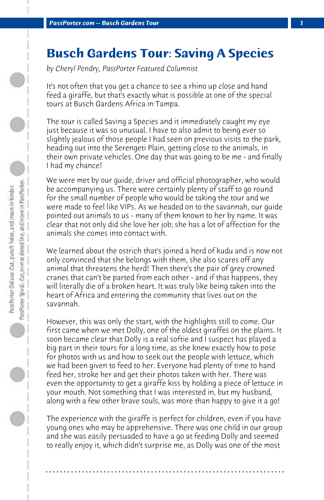## **Busch Gardens Tour: Saving A Species**

*by Cheryl Pendry, PassPorter Featured Columnist*

It's not often that you get a chance to see a rhino up close and hand feed a giraffe, but that's exactly what is possible at one of the special tours at Busch Gardens Africa in Tampa.

The tour is called Saving a Species and it immediately caught my eye just because it was so unusual. I have to also admit to being ever so slightly jealous of those people I had seen on previous visits to the park, heading out into the Serengeti Plain, getting close to the animals, in their own private vehicles. One day that was going to be me - and finally I had my chance!

We were met by our guide, driver and official photographer, who would be accompanying us. There were certainly plenty of staff to go round for the small number of people who would be taking the tour and we were made to feel like VIPs. As we headed on to the savannah, our guide pointed out animals to us - many of them known to her by name. It was clear that not only did she love her job; she has a lot of affection for the animals she comes into contact with.

We learned about the ostrich that's joined a herd of kudu and is now not only convinced that she belongs with them, she also scares off any animal that threatens the herd! Then there's the pair of grey crowned cranes that can't be parted from each other - and if that happens, they will literally die of a broken heart. It was truly like being taken into the heart of Africa and entering the community that lives out on the savannah.

However, this was only the start, with the highlights still to come. Our first came when we met Dolly, one of the oldest giraffes on the plains. It soon became clear that Dolly is a real softie and I suspect has played a big part in their tours for a long time, as she knew exactly how to pose for photos with us and how to seek out the people with lettuce, which we had been given to feed to her. Everyone had plenty of time to hand feed her, stroke her and get their photos taken with her. There was even the opportunity to get a giraffe kiss by holding a piece of lettuce in your mouth. Not something that I was interested in, but my husband, along with a few other brave souls, was more than happy to give it a go!

The experience with the giraffe is perfect for children, even if you have young ones who may be apprehensive. There was one child in our group and she was easily persuaded to have a go at feeding Dolly and seemed to really enjoy it, which didn't surprise me, as Dolly was one of the most

**. . . . . . . . . . . . . . . . . . . . . . . . . . . . . . . . . . . . . . . . . . . . . . . . . . . . . . . . . . . . . . . . . .**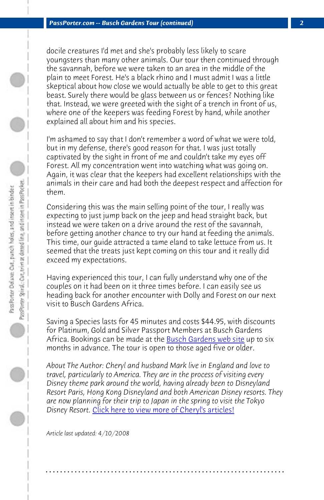*PassPorter.com -- Busch Gardens Tour (continued) 2*

docile creatures I'd met and she's probably less likely to scare youngsters than many other animals. Our tour then continued through the savannah, before we were taken to an area in the middle of the plain to meet Forest. He's a black rhino and I must admit I was a little skeptical about how close we would actually be able to get to this great beast. Surely there would be glass between us or fences? Nothing like that. Instead, we were greeted with the sight of a trench in front of us, where one of the keepers was feeding Forest by hand, while another explained all about him and his species.

I'm ashamed to say that I don't remember a word of what we were told, but in my defense, there's good reason for that. I was just totally captivated by the sight in front of me and couldn't take my eyes off Forest. All my concentration went into watching what was going on. Again, it was clear that the keepers had excellent relationships with the animals in their care and had both the deepest respect and affection for them.

Considering this was the main selling point of the tour, I really was expecting to just jump back on the jeep and head straight back, but instead we were taken on a drive around the rest of the savannah, before getting another chance to try our hand at feeding the animals. This time, our guide attracted a tame eland to take lettuce from us. It seemed that the treats just kept coming on this tour and it really did exceed my ex[pectations.](http://www.passporter.com/articles/cheryl-pendry-featured-columnist.asp) 

Having experienced this tour, I can fully understand why one of the couples on it had been on it three times before. I can easily see us heading back for another encounter with Dolly and Forest on our next visit to Busch Gardens Africa.

Saving a Species lasts for 45 minutes and costs \$44.95, with discounts for Platinum, Gold and Silver Passport Members at Busch Gardens Africa. Bookings can be made at the Busch Gardens web site up to six months in advance. The tour is open to those aged five or older.

*About The Author: Cheryl and husband Mark live in England and love to travel, particularly to America. They are in the process of visiting every Disney theme park around the world, having already been to Disneyland Resort Paris, Hong Kong Disneyland and both American Disney resorts. They are now planning for their trip to Japan in the spring to visit the Tokyo Disney Resort.* Click here to view more of Cheryl's articles!

**. . . . . . . . . . . . . . . . . . . . . . . . . . . . . . . . . . . . . . . . . . . . . . . . . . . . . . . . . . . . . . . . . .**

*Article last updated: 4/10/2008*